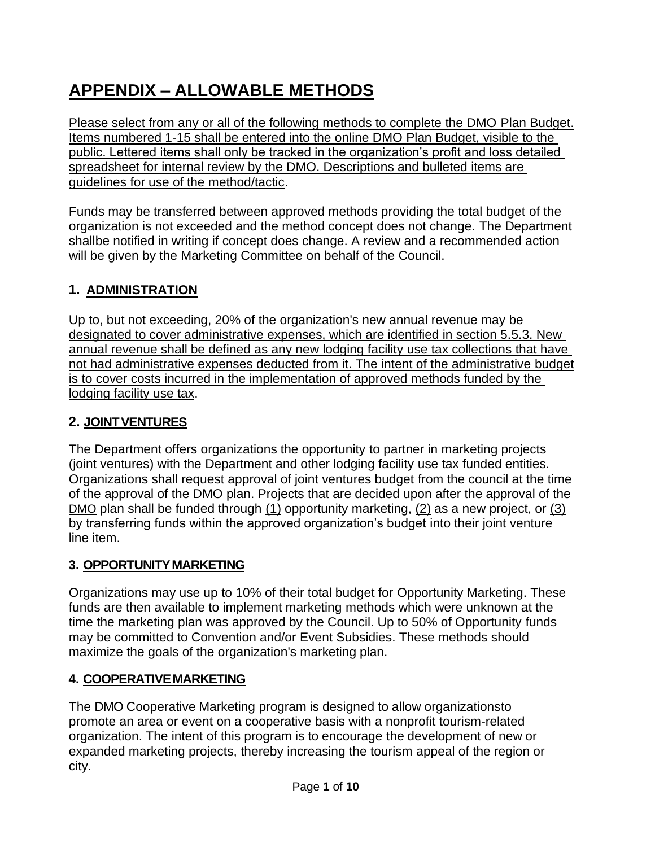# **APPENDIX – ALLOWABLE METHODS**

Please select from any or all of the following methods to complete the DMO Plan Budget. Items numbered 1-15 shall be entered into the online DMO Plan Budget, visible to the public. Lettered items shall only be tracked in the organization's profit and loss detailed spreadsheet for internal review by the DMO. Descriptions and bulleted items are guidelines for use of the method/tactic.

Funds may be transferred between approved methods providing the total budget of the organization is not exceeded and the method concept does not change. The Department shallbe notified in writing if concept does change. A review and a recommended action will be given by the Marketing Committee on behalf of the Council.

# **1. ADMINISTRATION**

Up to, but not exceeding, 20% of the organization's new annual revenue may be designated to cover administrative expenses, which are identified in section 5.5.3. New annual revenue shall be defined as any new lodging facility use tax collections that have not had administrative expenses deducted from it. The intent of the administrative budget is to cover costs incurred in the implementation of approved methods funded by the lodging facility use tax.

## **2. JOINTVENTURES**

The Department offers organizations the opportunity to partner in marketing projects (joint ventures) with the Department and other lodging facility use tax funded entities. Organizations shall request approval of joint ventures budget from the council at the time of the approval of the DMO plan. Projects that are decided upon after the approval of the DMO plan shall be funded through (1) opportunity marketing, (2) as a new project, or (3) by transferring funds within the approved organization's budget into their joint venture line item.

#### **3. OPPORTUNITY MARKETING**

Organizations may use up to 10% of their total budget for Opportunity Marketing. These funds are then available to implement marketing methods which were unknown at the time the marketing plan was approved by the Council. Up to 50% of Opportunity funds may be committed to Convention and/or Event Subsidies. These methods should maximize the goals of the organization's marketing plan.

#### **4. COOPERATIVEMARKETING**

The DMO Cooperative Marketing program is designed to allow organizationsto promote an area or event on a cooperative basis with a nonprofit tourism-related organization. The intent of this program is to encourage the development of new or expanded marketing projects, thereby increasing the tourism appeal of the region or city.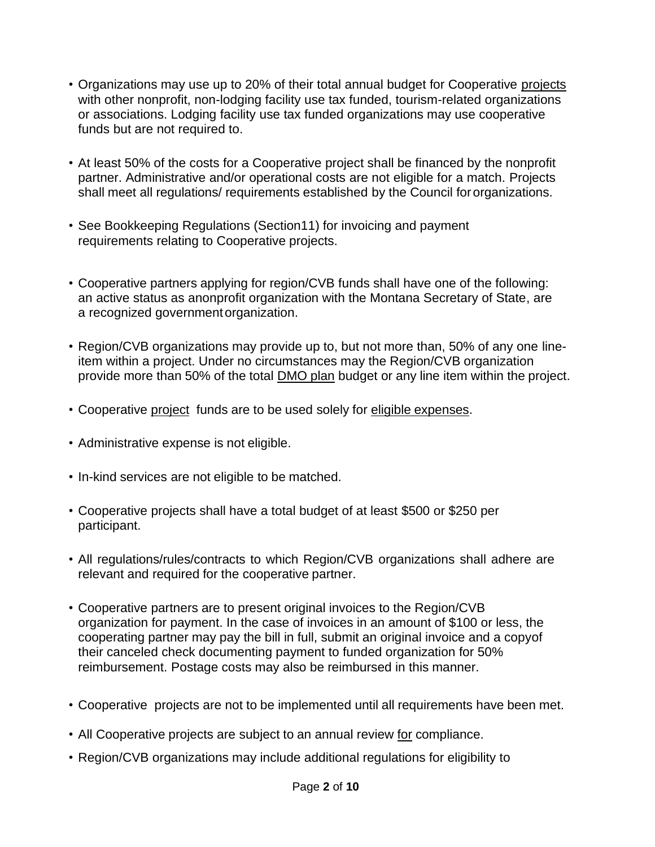- Organizations may use up to 20% of their total annual budget for Cooperative projects with other nonprofit, non-lodging facility use tax funded, tourism-related organizations or associations. Lodging facility use tax funded organizations may use cooperative funds but are not required to.
- At least 50% of the costs for a Cooperative project shall be financed by the nonprofit partner. Administrative and/or operational costs are not eligible for a match. Projects shall meet all regulations/ requirements established by the Council fororganizations.
- See Bookkeeping Regulations (Section11) for invoicing and payment requirements relating to Cooperative projects.
- Cooperative partners applying for region/CVB funds shall have one of the following: an active status as anonprofit organization with the Montana Secretary of State, are a recognized governmentorganization.
- Region/CVB organizations may provide up to, but not more than, 50% of any one lineitem within a project. Under no circumstances may the Region/CVB organization provide more than 50% of the total DMO plan budget or any line item within the project.
- Cooperative project funds are to be used solely for eligible expenses.
- Administrative expense is not eligible.
- In-kind services are not eligible to be matched.
- Cooperative projects shall have a total budget of at least \$500 or \$250 per participant.
- All regulations/rules/contracts to which Region/CVB organizations shall adhere are relevant and required for the cooperative partner.
- Cooperative partners are to present original invoices to the Region/CVB organization for payment. In the case of invoices in an amount of \$100 or less, the cooperating partner may pay the bill in full, submit an original invoice and a copyof their canceled check documenting payment to funded organization for 50% reimbursement. Postage costs may also be reimbursed in this manner.
- Cooperative projects are not to be implemented until all requirements have been met.
- All Cooperative projects are subject to an annual review for compliance.
- Region/CVB organizations may include additional regulations for eligibility to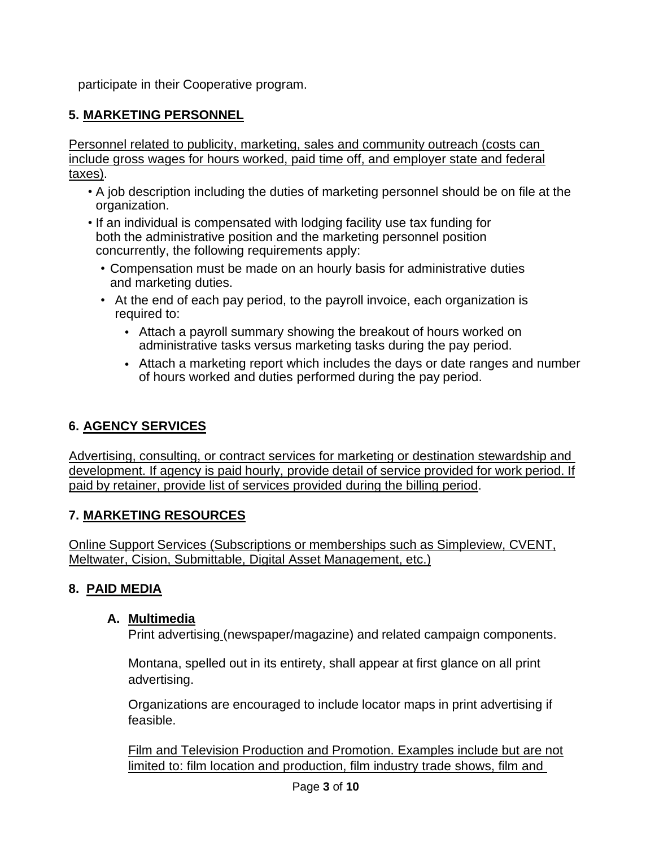participate in their Cooperative program.

#### **5. MARKETING PERSONNEL**

Personnel related to publicity, marketing, sales and community outreach (costs can include gross wages for hours worked, paid time off, and employer state and federal taxes).

- A job description including the duties of marketing personnel should be on file at the organization.
- If an individual is compensated with lodging facility use tax funding for both the administrative position and the marketing personnel position concurrently, the following requirements apply:
	- Compensation must be made on an hourly basis for administrative duties and marketing duties.
	- At the end of each pay period, to the payroll invoice, each organization is required to:
		- Attach a payroll summary showing the breakout of hours worked on administrative tasks versus marketing tasks during the pay period.
		- Attach a marketing report which includes the days or date ranges and number of hours worked and duties performed during the pay period.

#### **6. AGENCY SERVICES**

Advertising, consulting, or contract services for marketing or destination stewardship and development. If agency is paid hourly, provide detail of service provided for work period. If paid by retainer, provide list of services provided during the billing period.

#### **7. MARKETING RESOURCES**

Online Support Services (Subscriptions or memberships such as Simpleview, CVENT, Meltwater, Cision, Submittable, Digital Asset Management, etc.)

#### **8. PAID MEDIA**

#### **A. Multimedia**

Print advertising (newspaper/magazine) and related campaign components.

Montana, spelled out in its entirety, shall appear at first glance on all print advertising.

Organizations are encouraged to include locator maps in print advertising if feasible.

Film and Television Production and Promotion. Examples include but are not limited to: film location and production, film industry trade shows, film and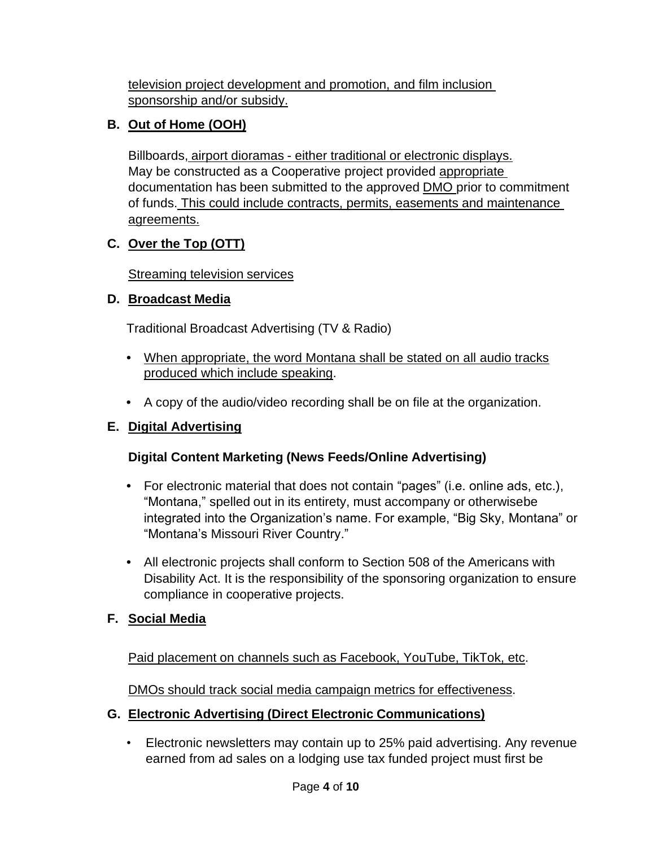television project development and promotion, and film inclusion sponsorship and/or subsidy.

## **B. Out of Home (OOH)**

Billboards, airport dioramas - either traditional or electronic displays. May be constructed as a Cooperative project provided appropriate documentation has been submitted to the approved DMO prior to commitment of funds. This could include contracts, permits, easements and maintenance agreements.

# **C. Over the Top (OTT)**

**Streaming television services** 

# **D. Broadcast Media**

Traditional Broadcast Advertising (TV & Radio)

- **•** When appropriate, the word Montana shall be stated on all audio tracks produced which include speaking.
- **•** A copy of the audio/video recording shall be on file at the organization.

# **E. Digital Advertising**

# **Digital Content Marketing (News Feeds/Online Advertising)**

- **•** For electronic material that does not contain "pages" (i.e. online ads, etc.), "Montana," spelled out in its entirety, must accompany or otherwisebe integrated into the Organization's name. For example, "Big Sky, Montana" or "Montana's Missouri River Country."
- **•** All electronic projects shall conform to Section 508 of the Americans with Disability Act. It is the responsibility of the sponsoring organization to ensure compliance in cooperative projects.

# **F. Social Media**

Paid placement on channels such as Facebook, YouTube, TikTok, etc.

DMOs should track social media campaign metrics for effectiveness.

# **G. Electronic Advertising (Direct Electronic Communications)**

• Electronic newsletters may contain up to 25% paid advertising. Any revenue earned from ad sales on a lodging use tax funded project must first be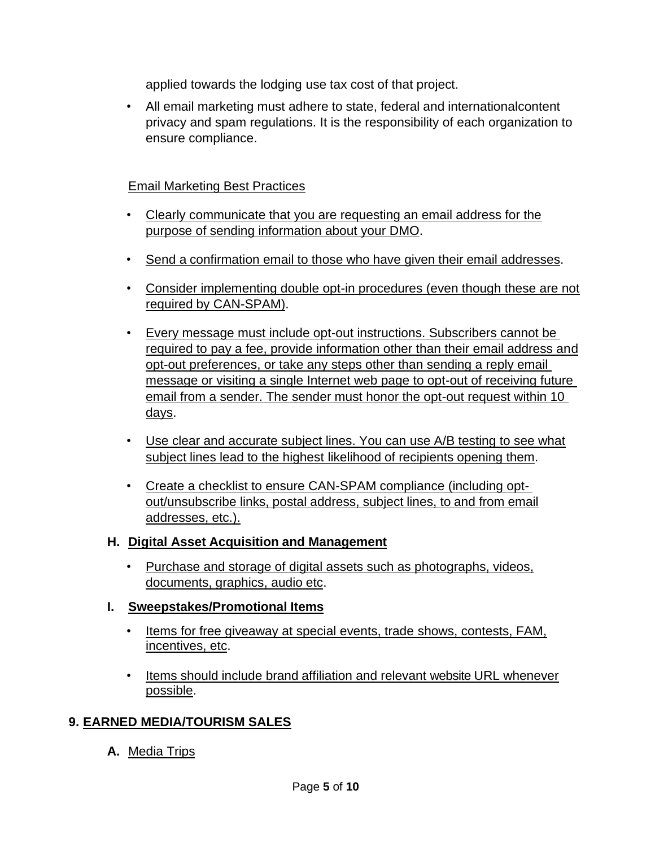applied towards the lodging use tax cost of that project.

• All email marketing must adhere to state, federal and internationalcontent privacy and spam regulations. It is the responsibility of each organization to ensure compliance.

#### Email Marketing Best Practices

- Clearly communicate that you are requesting an email address for the purpose of sending information about your DMO.
- Send a confirmation email to those who have given their email addresses.
- Consider implementing double opt-in procedures (even though these are not required by CAN-SPAM).
- Every message must include opt-out instructions. Subscribers cannot be required to pay a fee, provide information other than their email address and opt-out preferences, or take any steps other than sending a reply email message or visiting a single Internet web page to opt-out of receiving future email from a sender. The sender must honor the opt-out request within 10 days.
- Use clear and accurate subject lines. You can use A/B testing to see what subject lines lead to the highest likelihood of recipients opening them.
- Create a checklist to ensure CAN-SPAM compliance (including optout/unsubscribe links, postal address, subject lines, to and from email addresses, etc.).

#### **H. Digital Asset Acquisition and Management**

• Purchase and storage of digital assets such as photographs, videos, documents, graphics, audio etc.

#### **I. Sweepstakes/Promotional Items**

- Items for free giveaway at special events, trade shows, contests, FAM, incentives, etc.
- Items should include brand affiliation and relevant website URL whenever possible.

#### **9. EARNED MEDIA/TOURISM SALES**

**A.** Media Trips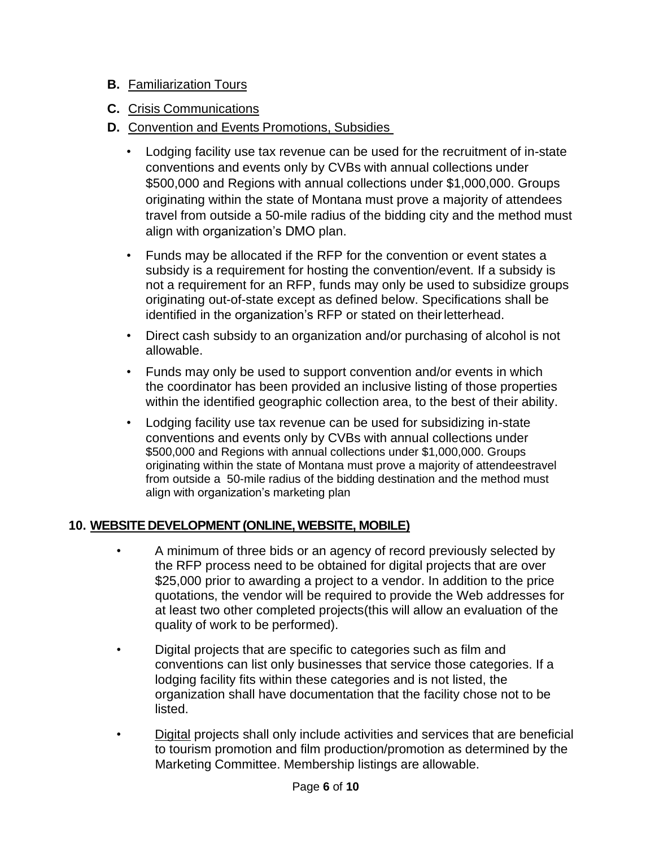#### **B.** Familiarization Tours

- **C.** Crisis Communications
- **D.** Convention and Events Promotions, Subsidies
	- Lodging facility use tax revenue can be used for the recruitment of in-state conventions and events only by CVBs with annual collections under \$500,000 and Regions with annual collections under \$1,000,000. Groups originating within the state of Montana must prove a majority of attendees travel from outside a 50-mile radius of the bidding city and the method must align with organization's DMO plan.
	- Funds may be allocated if the RFP for the convention or event states a subsidy is a requirement for hosting the convention/event. If a subsidy is not a requirement for an RFP, funds may only be used to subsidize groups originating out-of-state except as defined below. Specifications shall be identified in the organization's RFP or stated on theirletterhead.
	- Direct cash subsidy to an organization and/or purchasing of alcohol is not allowable.
	- Funds may only be used to support convention and/or events in which the coordinator has been provided an inclusive listing of those properties within the identified geographic collection area, to the best of their ability.
	- Lodging facility use tax revenue can be used for subsidizing in-state conventions and events only by CVBs with annual collections under \$500,000 and Regions with annual collections under \$1,000,000. Groups originating within the state of Montana must prove a majority of attendeestravel from outside a 50-mile radius of the bidding destination and the method must align with organization's marketing plan

#### **10. WEBSITE DEVELOPMENT (ONLINE, WEBSITE, MOBILE)**

- A minimum of three bids or an agency of record previously selected by the RFP process need to be obtained for digital projects that are over \$25,000 prior to awarding a project to a vendor. In addition to the price quotations, the vendor will be required to provide the Web addresses for at least two other completed projects(this will allow an evaluation of the quality of work to be performed).
- Digital projects that are specific to categories such as film and conventions can list only businesses that service those categories. If a lodging facility fits within these categories and is not listed, the organization shall have documentation that the facility chose not to be listed.
- Digital projects shall only include activities and services that are beneficial to tourism promotion and film production/promotion as determined by the Marketing Committee. Membership listings are allowable.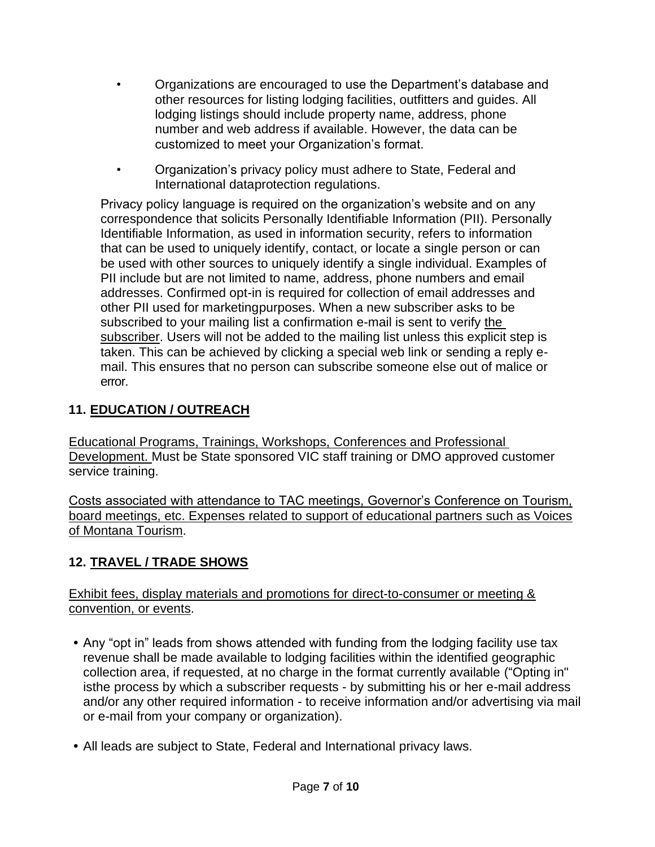- Organizations are encouraged to use the Department's database and other resources for listing lodging facilities, outfitters and guides. All lodging listings should include property name, address, phone number and web address if available. However, the data can be customized to meet your Organization's format.
- Organization's privacy policy must adhere to State, Federal and International dataprotection regulations.

Privacy policy language is required on the organization's website and on any correspondence that solicits Personally Identifiable Information (PII). Personally Identifiable Information, as used in information security, refers to information that can be used to uniquely identify, contact, or locate a single person or can be used with other sources to uniquely identify a single individual. Examples of PII include but are not limited to name, address, phone numbers and email addresses. Confirmed opt-in is required for collection of email addresses and other PII used for marketingpurposes. When a new subscriber asks to be subscribed to your mailing list a confirmation e-mail is sent to verify the subscriber. Users will not be added to the mailing list unless this explicit step is taken. This can be achieved by clicking a special web link or sending a reply email. This ensures that no person can subscribe someone else out of malice or error.

# **11. EDUCATION / OUTREACH**

Educational Programs, Trainings, Workshops, Conferences and Professional Development. Must be State sponsored VIC staff training or DMO approved customer service training.

Costs associated with attendance to TAC meetings, Governor's Conference on Tourism, board meetings, etc. Expenses related to support of educational partners such as Voices of Montana Tourism.

# **12. TRAVEL / TRADE SHOWS**

Exhibit fees, display materials and promotions for direct-to-consumer or meeting & convention, or events.

- **•** Any "opt in" leads from shows attended with funding from the lodging facility use tax revenue shall be made available to lodging facilities within the identified geographic collection area, if requested, at no charge in the format currently available ("Opting in" isthe process by which a subscriber requests - by submitting his or her e-mail address and/or any other required information - to receive information and/or advertising via mail or e-mail from your company or organization).
- **•** All leads are subject to State, Federal and International privacy laws.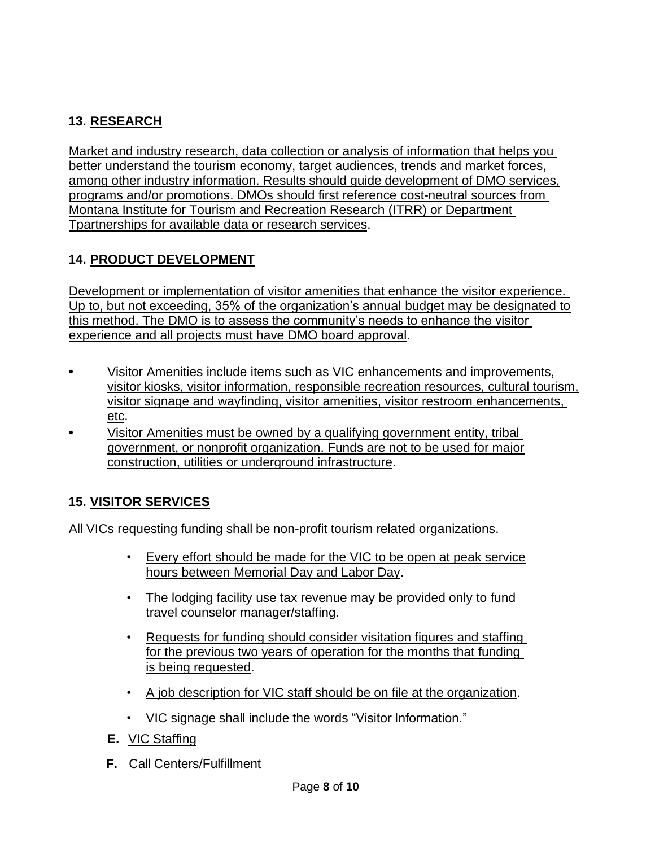# **13. RESEARCH**

Market and industry research, data collection or analysis of information that helps you better understand the tourism economy, target audiences, trends and market forces, among other industry information. Results should guide development of DMO services, programs and/or promotions. DMOs should first reference cost-neutral sources from Montana Institute for Tourism and Recreation Research (ITRR) or Department Tpartnerships for available data or research services.

#### **14. PRODUCT DEVELOPMENT**

Development or implementation of visitor amenities that enhance the visitor experience. Up to, but not exceeding, 35% of the organization's annual budget may be designated to this method. The DMO is to assess the community's needs to enhance the visitor experience and all projects must have DMO board approval.

- **•** Visitor Amenities include items such as VIC enhancements and improvements, visitor kiosks, visitor information, responsible recreation resources, cultural tourism, visitor signage and wayfinding, visitor amenities, visitor restroom enhancements, etc.
- **•** Visitor Amenities must be owned by a qualifying government entity, tribal government, or nonprofit organization. Funds are not to be used for major construction, utilities or underground infrastructure.

# **15. VISITOR SERVICES**

All VICs requesting funding shall be non-profit tourism related organizations.

- Every effort should be made for the VIC to be open at peak service hours between Memorial Day and Labor Day.
- The lodging facility use tax revenue may be provided only to fund travel counselor manager/staffing.
- Requests for funding should consider visitation figures and staffing for the previous two years of operation for the months that funding is being requested.
- A job description for VIC staff should be on file at the organization.
- VIC signage shall include the words "Visitor Information."
- **E.** VIC Staffing
- **F.** Call Centers/Fulfillment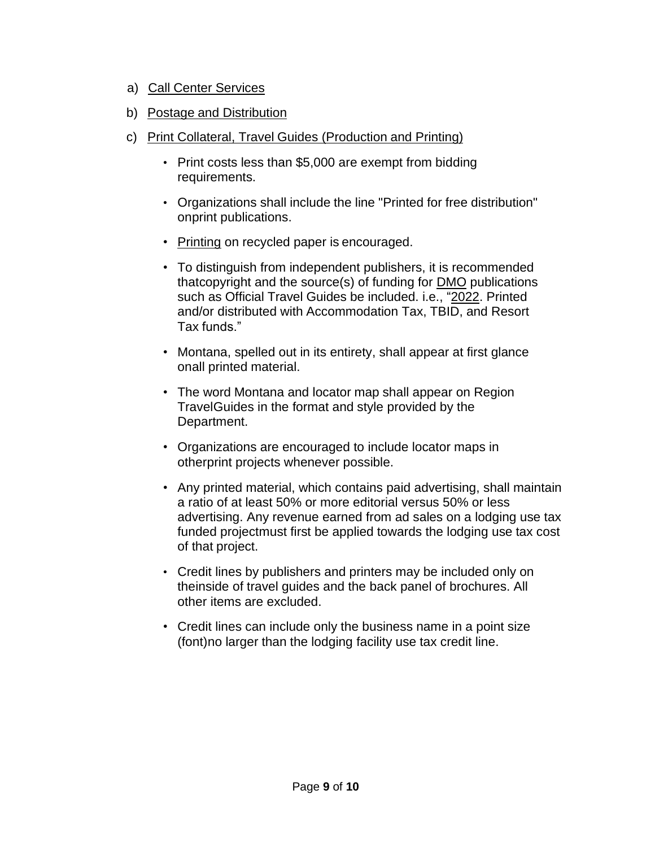- a) Call Center Services
- b) Postage and Distribution
- c) Print Collateral, Travel Guides (Production and Printing)
	- Print costs less than \$5,000 are exempt from bidding requirements.
	- Organizations shall include the line "Printed for free distribution" onprint publications.
	- Printing on recycled paper is encouraged.
	- To distinguish from independent publishers, it is recommended thatcopyright and the source(s) of funding for DMO publications such as Official Travel Guides be included. i.e., "2022. Printed and/or distributed with Accommodation Tax, TBID, and Resort Tax funds."
	- Montana, spelled out in its entirety, shall appear at first glance onall printed material.
	- The word Montana and locator map shall appear on Region TravelGuides in the format and style provided by the Department.
	- Organizations are encouraged to include locator maps in otherprint projects whenever possible.
	- Any printed material, which contains paid advertising, shall maintain a ratio of at least 50% or more editorial versus 50% or less advertising. Any revenue earned from ad sales on a lodging use tax funded projectmust first be applied towards the lodging use tax cost of that project.
	- Credit lines by publishers and printers may be included only on theinside of travel guides and the back panel of brochures. All other items are excluded.
	- Credit lines can include only the business name in a point size (font)no larger than the lodging facility use tax credit line.